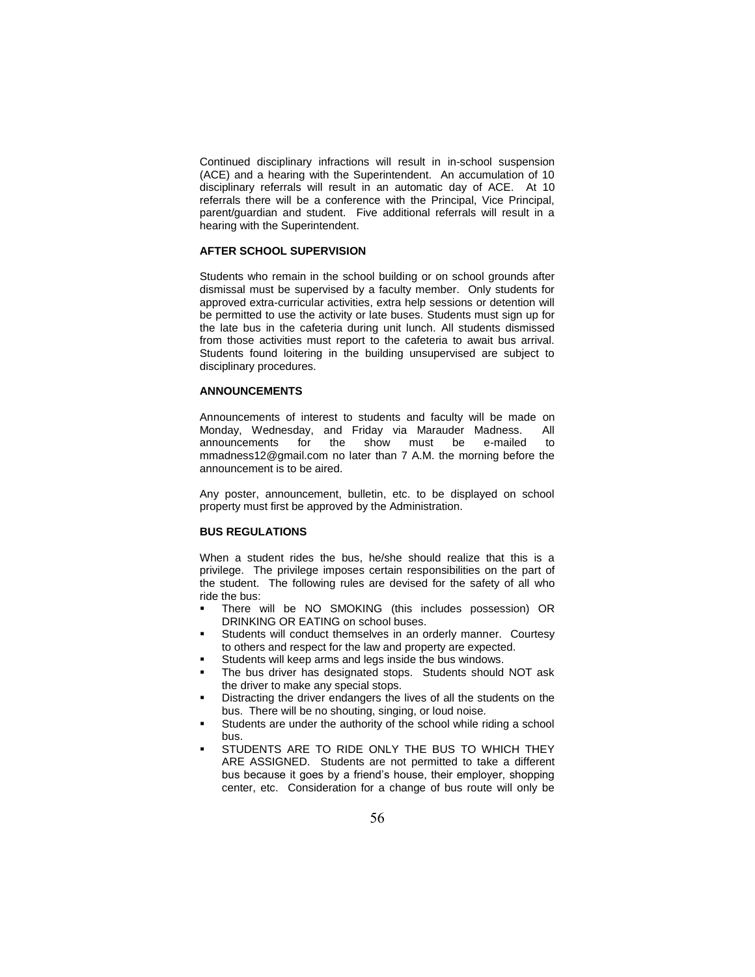Continued disciplinary infractions will result in in-school suspension (ACE) and a hearing with the Superintendent. An accumulation of 10 disciplinary referrals will result in an automatic day of ACE. At 10 referrals there will be a conference with the Principal, Vice Principal, parent/guardian and student. Five additional referrals will result in a hearing with the Superintendent.

# **AFTER SCHOOL SUPERVISION**

Students who remain in the school building or on school grounds after dismissal must be supervised by a faculty member. Only students for approved extra-curricular activities, extra help sessions or detention will be permitted to use the activity or late buses. Students must sign up for the late bus in the cafeteria during unit lunch. All students dismissed from those activities must report to the cafeteria to await bus arrival. Students found loitering in the building unsupervised are subject to disciplinary procedures.

## **ANNOUNCEMENTS**

Announcements of interest to students and faculty will be made on Monday, Wednesday, and Friday via Marauder Madness. All announcements for the show must be e-mailed to mmadness12@gmail.com no later than 7 A.M. the morning before the announcement is to be aired.

Any poster, announcement, bulletin, etc. to be displayed on school property must first be approved by the Administration.

#### **BUS REGULATIONS**

When a student rides the bus, he/she should realize that this is a privilege. The privilege imposes certain responsibilities on the part of the student. The following rules are devised for the safety of all who ride the bus:

- There will be NO SMOKING (this includes possession) OR DRINKING OR EATING on school buses.
- Students will conduct themselves in an orderly manner. Courtesy to others and respect for the law and property are expected.
- Students will keep arms and legs inside the bus windows.
- The bus driver has designated stops. Students should NOT ask the driver to make any special stops.
- Distracting the driver endangers the lives of all the students on the bus. There will be no shouting, singing, or loud noise.
- Students are under the authority of the school while riding a school bus.
- STUDENTS ARE TO RIDE ONLY THE BUS TO WHICH THEY ARE ASSIGNED. Students are not permitted to take a different bus because it goes by a friend's house, their employer, shopping center, etc. Consideration for a change of bus route will only be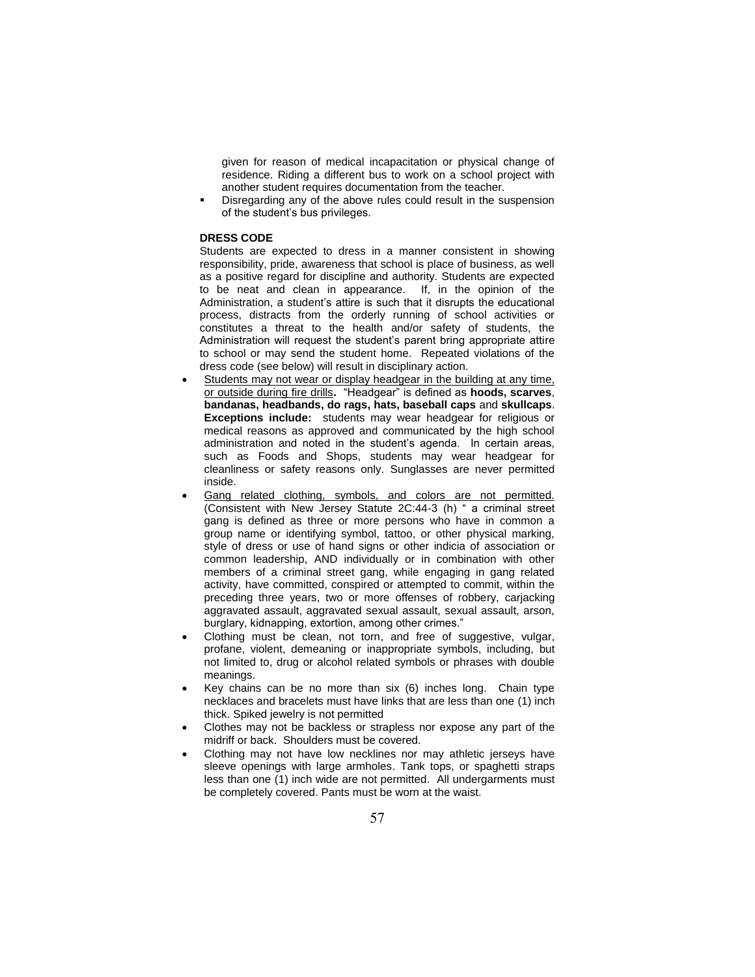given for reason of medical incapacitation or physical change of residence. Riding a different bus to work on a school project with another student requires documentation from the teacher.

 Disregarding any of the above rules could result in the suspension of the student's bus privileges.

# **DRESS CODE**

Students are expected to dress in a manner consistent in showing responsibility, pride, awareness that school is place of business, as well as a positive regard for discipline and authority. Students are expected to be neat and clean in appearance. If, in the opinion of the Administration, a student's attire is such that it disrupts the educational process, distracts from the orderly running of school activities or constitutes a threat to the health and/or safety of students, the Administration will request the student's parent bring appropriate attire to school or may send the student home. Repeated violations of the dress code (see below) will result in disciplinary action.

- Students may not wear or display headgear in the building at any time, or outside during fire drills**.** "Headgear" is defined as **hoods, scarves**, **bandanas, headbands, do rags, hats, baseball caps** and **skullcaps**. **Exceptions include:** students may wear headgear for religious or medical reasons as approved and communicated by the high school administration and noted in the student's agenda. In certain areas, such as Foods and Shops, students may wear headgear for cleanliness or safety reasons only. Sunglasses are never permitted inside.
- Gang related clothing, symbols, and colors are not permitted. (Consistent with New Jersey Statute 2C:44-3 (h) " a criminal street gang is defined as three or more persons who have in common a group name or identifying symbol, tattoo, or other physical marking, style of dress or use of hand signs or other indicia of association or common leadership, AND individually or in combination with other members of a criminal street gang, while engaging in gang related activity, have committed, conspired or attempted to commit, within the preceding three years, two or more offenses of robbery, carjacking aggravated assault, aggravated sexual assault, sexual assault, arson, burglary, kidnapping, extortion, among other crimes."
- Clothing must be clean, not torn, and free of suggestive, vulgar, profane, violent, demeaning or inappropriate symbols, including, but not limited to, drug or alcohol related symbols or phrases with double meanings.
- Key chains can be no more than six (6) inches long. Chain type necklaces and bracelets must have links that are less than one (1) inch thick. Spiked jewelry is not permitted
- Clothes may not be backless or strapless nor expose any part of the midriff or back. Shoulders must be covered.
- Clothing may not have low necklines nor may athletic jerseys have sleeve openings with large armholes. Tank tops, or spaghetti straps less than one (1) inch wide are not permitted. All undergarments must be completely covered. Pants must be worn at the waist.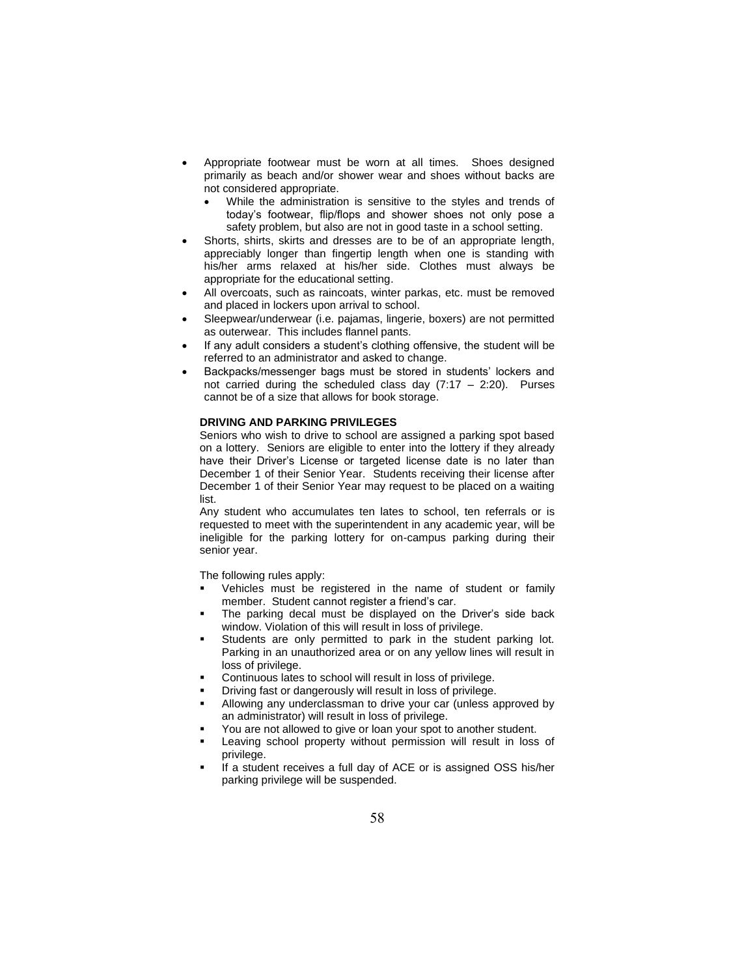- Appropriate footwear must be worn at all times. Shoes designed primarily as beach and/or shower wear and shoes without backs are not considered appropriate.
	- While the administration is sensitive to the styles and trends of today's footwear, flip/flops and shower shoes not only pose a safety problem, but also are not in good taste in a school setting.
- Shorts, shirts, skirts and dresses are to be of an appropriate length, appreciably longer than fingertip length when one is standing with his/her arms relaxed at his/her side. Clothes must always be appropriate for the educational setting.
- All overcoats, such as raincoats, winter parkas, etc. must be removed and placed in lockers upon arrival to school.
- Sleepwear/underwear (i.e. pajamas, lingerie, boxers) are not permitted as outerwear. This includes flannel pants.
- If any adult considers a student's clothing offensive, the student will be referred to an administrator and asked to change.
- Backpacks/messenger bags must be stored in students' lockers and not carried during the scheduled class day  $(7:17 - 2:20)$ . Purses cannot be of a size that allows for book storage.

## **DRIVING AND PARKING PRIVILEGES**

Seniors who wish to drive to school are assigned a parking spot based on a lottery. Seniors are eligible to enter into the lottery if they already have their Driver's License or targeted license date is no later than December 1 of their Senior Year. Students receiving their license after December 1 of their Senior Year may request to be placed on a waiting list.

Any student who accumulates ten lates to school, ten referrals or is requested to meet with the superintendent in any academic year, will be ineligible for the parking lottery for on-campus parking during their senior year.

The following rules apply:

- Vehicles must be registered in the name of student or family member. Student cannot register a friend's car.
- The parking decal must be displayed on the Driver's side back window. Violation of this will result in loss of privilege.
- Students are only permitted to park in the student parking lot. Parking in an unauthorized area or on any yellow lines will result in loss of privilege.
- Continuous lates to school will result in loss of privilege.
- Driving fast or dangerously will result in loss of privilege.
- Allowing any underclassman to drive your car (unless approved by an administrator) will result in loss of privilege.
- You are not allowed to give or loan your spot to another student.
- Leaving school property without permission will result in loss of privilege.
- If a student receives a full day of ACE or is assigned OSS his/her parking privilege will be suspended.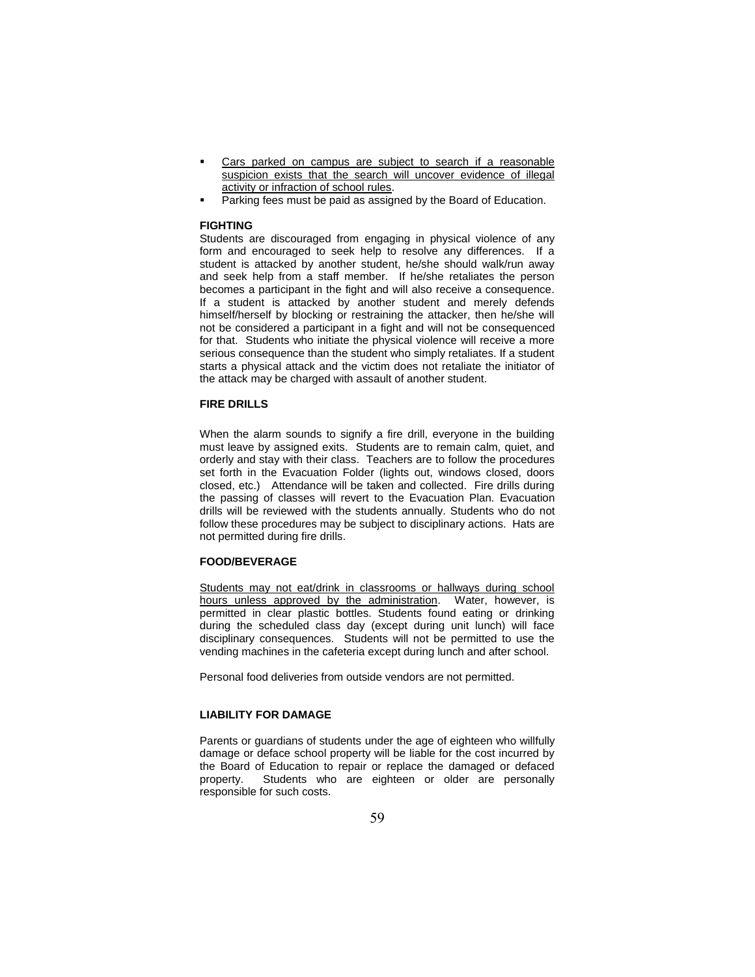- Cars parked on campus are subject to search if a reasonable suspicion exists that the search will uncover evidence of illegal activity or infraction of school rules.
- Parking fees must be paid as assigned by the Board of Education.

# **FIGHTING**

Students are discouraged from engaging in physical violence of any form and encouraged to seek help to resolve any differences. If a student is attacked by another student, he/she should walk/run away and seek help from a staff member. If he/she retaliates the person becomes a participant in the fight and will also receive a consequence. If a student is attacked by another student and merely defends himself/herself by blocking or restraining the attacker, then he/she will not be considered a participant in a fight and will not be consequenced for that. Students who initiate the physical violence will receive a more serious consequence than the student who simply retaliates. If a student starts a physical attack and the victim does not retaliate the initiator of the attack may be charged with assault of another student.

# **FIRE DRILLS**

When the alarm sounds to signify a fire drill, everyone in the building must leave by assigned exits. Students are to remain calm, quiet, and orderly and stay with their class. Teachers are to follow the procedures set forth in the Evacuation Folder (lights out, windows closed, doors closed, etc.) Attendance will be taken and collected. Fire drills during the passing of classes will revert to the Evacuation Plan. Evacuation drills will be reviewed with the students annually. Students who do not follow these procedures may be subject to disciplinary actions. Hats are not permitted during fire drills.

#### **FOOD/BEVERAGE**

Students may not eat/drink in classrooms or hallways during school hours unless approved by the administration. Water, however, is permitted in clear plastic bottles. Students found eating or drinking during the scheduled class day (except during unit lunch) will face disciplinary consequences. Students will not be permitted to use the vending machines in the cafeteria except during lunch and after school.

Personal food deliveries from outside vendors are not permitted.

# **LIABILITY FOR DAMAGE**

Parents or guardians of students under the age of eighteen who willfully damage or deface school property will be liable for the cost incurred by the Board of Education to repair or replace the damaged or defaced property. Students who are eighteen or older are personally responsible for such costs.